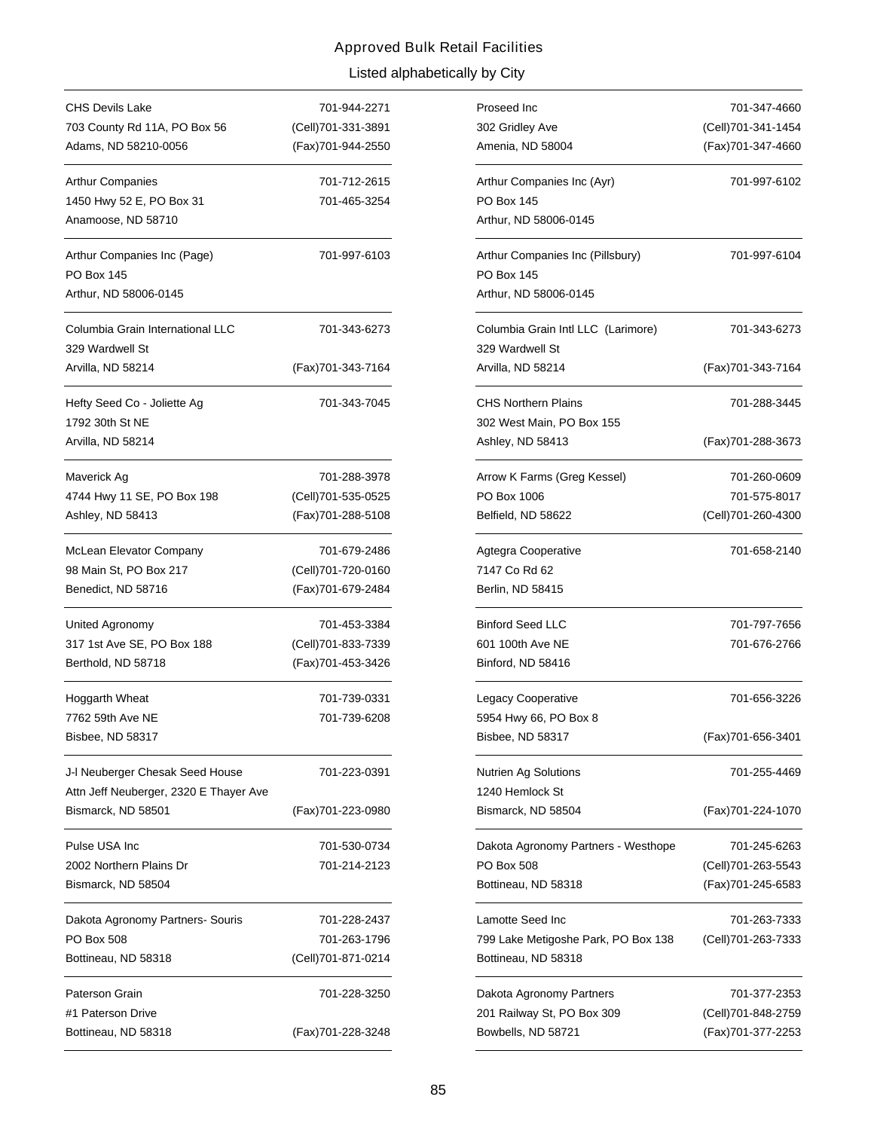| CHS Devils Lake                        | 701-944-2271       |
|----------------------------------------|--------------------|
| 703 County Rd 11A, PO Box 56           | (Cell)701-331-3891 |
| Adams, ND 58210-0056                   | (Fax)701-944-2550  |
| <b>Arthur Companies</b>                | 701-712-2615       |
| 1450 Hwy 52 E, PO Box 31               | 701-465-3254       |
| Anamoose, ND 58710                     |                    |
| Arthur Companies Inc (Page)            | 701-997-6103       |
| <b>PO Box 145</b>                      |                    |
| Arthur, ND 58006-0145                  |                    |
| Columbia Grain International LLC       | 701-343-6273       |
| 329 Wardwell St                        |                    |
| Arvilla, ND 58214                      | (Fax)701-343-7164  |
| Hefty Seed Co - Joliette Ag            | 701-343-7045       |
| 1792 30th St NE                        |                    |
| Arvilla, ND 58214                      |                    |
| Maverick Ag                            | 701-288-3978       |
| 4744 Hwy 11 SE, PO Box 198             | (Cell)701-535-0525 |
| Ashley, ND 58413                       | (Fax) 701-288-5108 |
| McLean Elevator Company                | 701-679-2486       |
| 98 Main St, PO Box 217                 | (Cell)701-720-0160 |
| Benedict, ND 58716                     | (Fax)701-679-2484  |
| United Agronomy                        | 701-453-3384       |
| 317 1st Ave SE, PO Box 188             | (Cell)701-833-7339 |
| Berthold, ND 58718                     | (Fax)701-453-3426  |
| Hoggarth Wheat                         | 701-739-0331       |
| 7762 59th Ave NE                       | 701-739-6208       |
| Bisbee, ND 58317                       |                    |
| J-I Neuberger Chesak Seed House        | 701-223-0391       |
| Attn Jeff Neuberger, 2320 E Thayer Ave |                    |
| Bismarck, ND 58501                     | (Fax)701-223-0980  |
| Pulse USA Inc                          | 701-530-0734       |
| 2002 Northern Plains Dr                | 701-214-2123       |
| Bismarck, ND 58504                     |                    |
| Dakota Agronomy Partners- Souris       | 701-228-2437       |
| PO Box 508                             | 701-263-1796       |
| Bottineau, ND 58318                    | (Cell)701-871-0214 |
| Paterson Grain                         | 701-228-3250       |
| #1 Paterson Drive                      |                    |
| Bottineau, ND 58318                    | (Fax)701-228-3248  |

| 701-944-2271 | Proseed Inc                                           | 701-347-4660        |
|--------------|-------------------------------------------------------|---------------------|
| 701-331-3891 | 302 Gridley Ave                                       | (Cell) 701-341-1454 |
| 701-944-2550 | Amenia, ND 58004                                      | (Fax) 701-347-4660  |
| 701-712-2615 | Arthur Companies Inc (Ayr)                            | 701-997-6102        |
| 701-465-3254 | <b>PO Box 145</b>                                     |                     |
|              | Arthur, ND 58006-0145                                 |                     |
| 701-997-6103 | Arthur Companies Inc (Pillsbury)<br>PO Box 145        | 701-997-6104        |
|              | Arthur, ND 58006-0145                                 |                     |
| 701-343-6273 | Columbia Grain Intl LLC (Larimore)<br>329 Wardwell St | 701-343-6273        |
| 701-343-7164 | Arvilla, ND 58214                                     | (Fax) 701-343-7164  |
| 701-343-7045 | <b>CHS Northern Plains</b>                            | 701-288-3445        |
|              | 302 West Main, PO Box 155                             |                     |
|              | Ashley, ND 58413                                      | (Fax)701-288-3673   |
| 701-288-3978 | Arrow K Farms (Greg Kessel)                           | 701-260-0609        |
| 701-535-0525 | PO Box 1006                                           | 701-575-8017        |
| 701-288-5108 | Belfield, ND 58622                                    | (Cell)701-260-4300  |
| 701-679-2486 | Agtegra Cooperative                                   | 701-658-2140        |
| 701-720-0160 | 7147 Co Rd 62                                         |                     |
| 701-679-2484 | Berlin, ND 58415                                      |                     |
| 701-453-3384 | <b>Binford Seed LLC</b>                               | 701-797-7656        |
| 701-833-7339 | 601 100th Ave NE                                      | 701-676-2766        |
| 701-453-3426 | Binford, ND 58416                                     |                     |
| 701-739-0331 | Legacy Cooperative                                    | 701-656-3226        |
| 701-739-6208 | 5954 Hwy 66, PO Box 8                                 |                     |
|              | Bisbee, ND 58317                                      | (Fax)701-656-3401   |
| 701-223-0391 | <b>Nutrien Ag Solutions</b>                           | 701-255-4469        |
|              | 1240 Hemlock St                                       |                     |
| 701-223-0980 | Bismarck, ND 58504                                    | (Fax)701-224-1070   |
| 701-530-0734 | Dakota Agronomy Partners - Westhope                   | 701-245-6263        |
| 701-214-2123 | PO Box 508                                            | (Cell)701-263-5543  |
|              | Bottineau, ND 58318                                   | (Fax)701-245-6583   |
| 701-228-2437 | Lamotte Seed Inc                                      | 701-263-7333        |
| 701-263-1796 | 799 Lake Metigoshe Park, PO Box 138                   | (Cell)701-263-7333  |
| 701-871-0214 | Bottineau, ND 58318                                   |                     |
| 701-228-3250 | Dakota Agronomy Partners                              | 701-377-2353        |
|              | 201 Railway St, PO Box 309                            | (Cell)701-848-2759  |
| 701-228-3248 | Bowbells, ND 58721                                    | (Fax)701-377-2253   |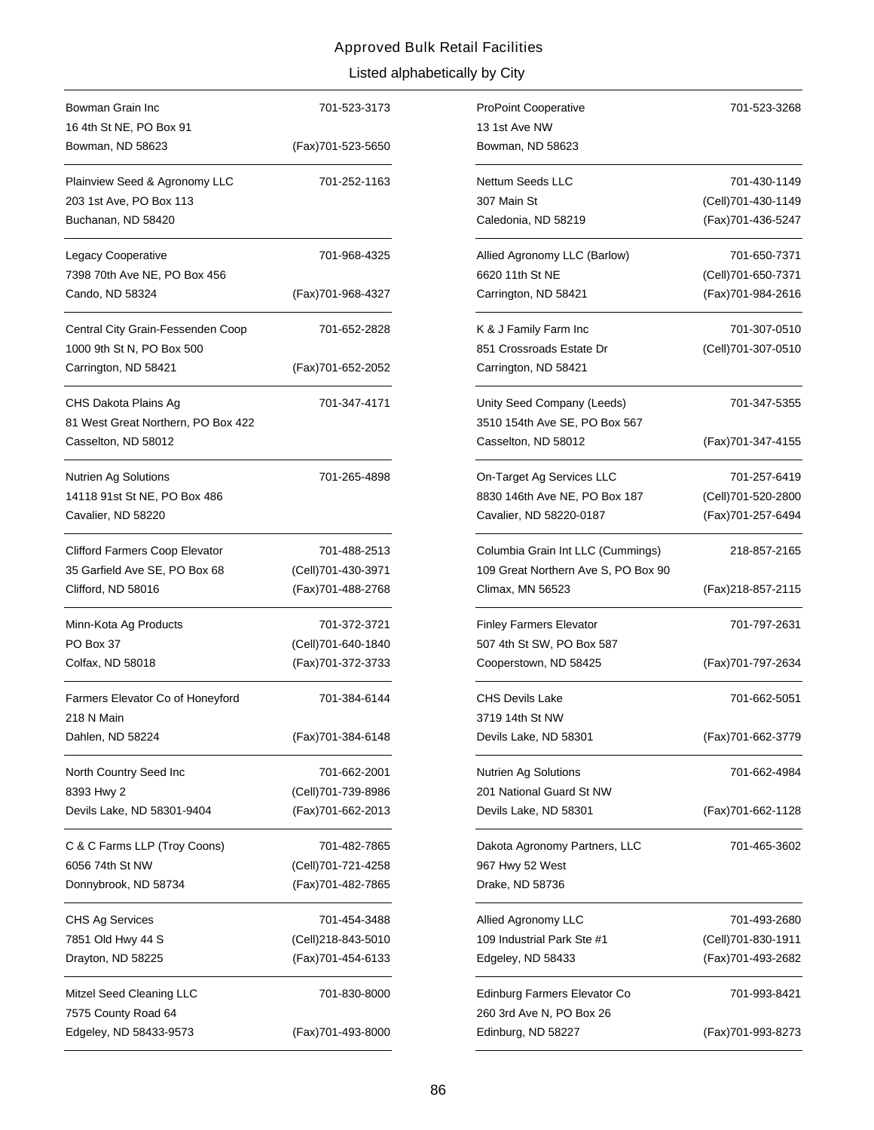| Bowman Grain Inc                                                                  | 701-523-3173       |
|-----------------------------------------------------------------------------------|--------------------|
| 16 4th St NE, PO Box 91                                                           |                    |
| Bowman, ND 58623                                                                  | (Fax)701-523-5650  |
| Plainview Seed & Agronomy LLC<br>203 1st Ave, PO Box 113<br>Buchanan, ND 58420    | 701-252-1163       |
|                                                                                   |                    |
| Legacy Cooperative<br>7398 70th Ave NE, PO Box 456                                | 701-968-4325       |
| Cando, ND 58324                                                                   | (Fax)701-968-4327  |
| Central City Grain-Fessenden Coop<br>1000 9th St N, PO Box 500                    | 701-652-2828       |
| Carrington, ND 58421                                                              | (Fax)701-652-2052  |
| CHS Dakota Plains Ag<br>81 West Great Northern, PO Box 422<br>Casselton, ND 58012 | 701-347-4171       |
| Nutrien Ag Solutions<br>14118 91st St NE, PO Box 486<br>Cavalier, ND 58220        | 701-265-4898       |
| Clifford Farmers Coop Elevator                                                    | 701-488-2513       |
| 35 Garfield Ave SE, PO Box 68                                                     | (Cell)701-430-3971 |
| Clifford, ND 58016                                                                | (Fax)701-488-2768  |
| Minn-Kota Ag Products                                                             | 701-372-3721       |
| PO Box 37                                                                         | (Cell)701-640-1840 |
| Colfax, ND 58018                                                                  | (Fax)701-372-3733  |
| Farmers Elevator Co of Honeyford<br>218 N Main                                    | 701-384-6144       |
| Dahlen, ND 58224                                                                  | (Fax)701-384-6148  |
| North Country Seed Inc                                                            | 701-662-2001       |
| 8393 Hwy 2                                                                        | (Cell)701-739-8986 |
| Devils Lake, ND 58301-9404                                                        | (Fax)701-662-2013  |
| C & C Farms LLP (Troy Coons)                                                      | 701-482-7865       |
| 6056 74th St NW                                                                   | (Cell)701-721-4258 |
| Donnybrook, ND 58734                                                              | (Fax)701-482-7865  |
| <b>CHS Ag Services</b>                                                            | 701-454-3488       |
| 7851 Old Hwy 44 S                                                                 | (Cell)218-843-5010 |
| Drayton, ND 58225                                                                 | (Fax)701-454-6133  |
| Mitzel Seed Cleaning LLC                                                          | 701-830-8000       |
| 7575 County Road 64                                                               |                    |
| Edgeley, ND 58433-9573                                                            | (Fax)701-493-8000  |

| 701-523-3173 | <b>ProPoint Cooperative</b>                              | 701-523-3268        |
|--------------|----------------------------------------------------------|---------------------|
|              | 13 1st Ave NW                                            |                     |
| 701-523-5650 | Bowman, ND 58623                                         |                     |
| 701-252-1163 | Nettum Seeds LLC                                         | 701-430-1149        |
|              | 307 Main St                                              | (Cell) 701-430-1149 |
|              | Caledonia, ND 58219                                      | (Fax) 701-436-5247  |
| 701-968-4325 | Allied Agronomy LLC (Barlow)                             | 701-650-7371        |
|              | 6620 11th St NE                                          | (Cell)701-650-7371  |
| 701-968-4327 | Carrington, ND 58421                                     | (Fax)701-984-2616   |
| 701-652-2828 | K & J Family Farm Inc                                    | 701-307-0510        |
|              | 851 Crossroads Estate Dr                                 | (Cell)701-307-0510  |
| 701-652-2052 | Carrington, ND 58421                                     |                     |
| 701-347-4171 | Unity Seed Company (Leeds)                               | 701-347-5355        |
|              | 3510 154th Ave SE, PO Box 567                            |                     |
|              | Casselton, ND 58012                                      | (Fax) 701-347-4155  |
| 701-265-4898 | On-Target Ag Services LLC                                | 701-257-6419        |
|              | 8830 146th Ave NE, PO Box 187                            | (Cell)701-520-2800  |
|              | Cavalier, ND 58220-0187                                  | (Fax)701-257-6494   |
| 701-488-2513 | Columbia Grain Int LLC (Cummings)                        | 218-857-2165        |
| 701-430-3971 | 109 Great Northern Ave S, PO Box 90                      |                     |
| 701-488-2768 | Climax, MN 56523                                         | (Fax)218-857-2115   |
| 701-372-3721 | <b>Finley Farmers Elevator</b>                           | 701-797-2631        |
| 701-640-1840 | 507 4th St SW, PO Box 587                                |                     |
| 701-372-3733 | Cooperstown, ND 58425                                    | (Fax)701-797-2634   |
| 701-384-6144 | <b>CHS Devils Lake</b>                                   | 701-662-5051        |
|              | 3719 14th St NW                                          |                     |
| 701-384-6148 | Devils Lake, ND 58301                                    | (Fax)701-662-3779   |
| 701-662-2001 | <b>Nutrien Ag Solutions</b>                              | 701-662-4984        |
| 701-739-8986 | 201 National Guard St NW                                 |                     |
| 701-662-2013 | Devils Lake, ND 58301                                    | (Fax)701-662-1128   |
| 701-482-7865 | Dakota Agronomy Partners, LLC                            | 701-465-3602        |
| 701-721-4258 | 967 Hwy 52 West                                          |                     |
| 701-482-7865 | Drake, ND 58736                                          |                     |
| 701-454-3488 | Allied Agronomy LLC                                      | 701-493-2680        |
| 218-843-5010 | 109 Industrial Park Ste #1                               | (Cell)701-830-1911  |
| 701-454-6133 | Edgeley, ND 58433                                        | (Fax)701-493-2682   |
| 701-830-8000 | Edinburg Farmers Elevator Co<br>260 3rd Ave N, PO Box 26 | 701-993-8421        |
| 701-493-8000 | Edinburg, ND 58227                                       | (Fax)701-993-8273   |
|              |                                                          |                     |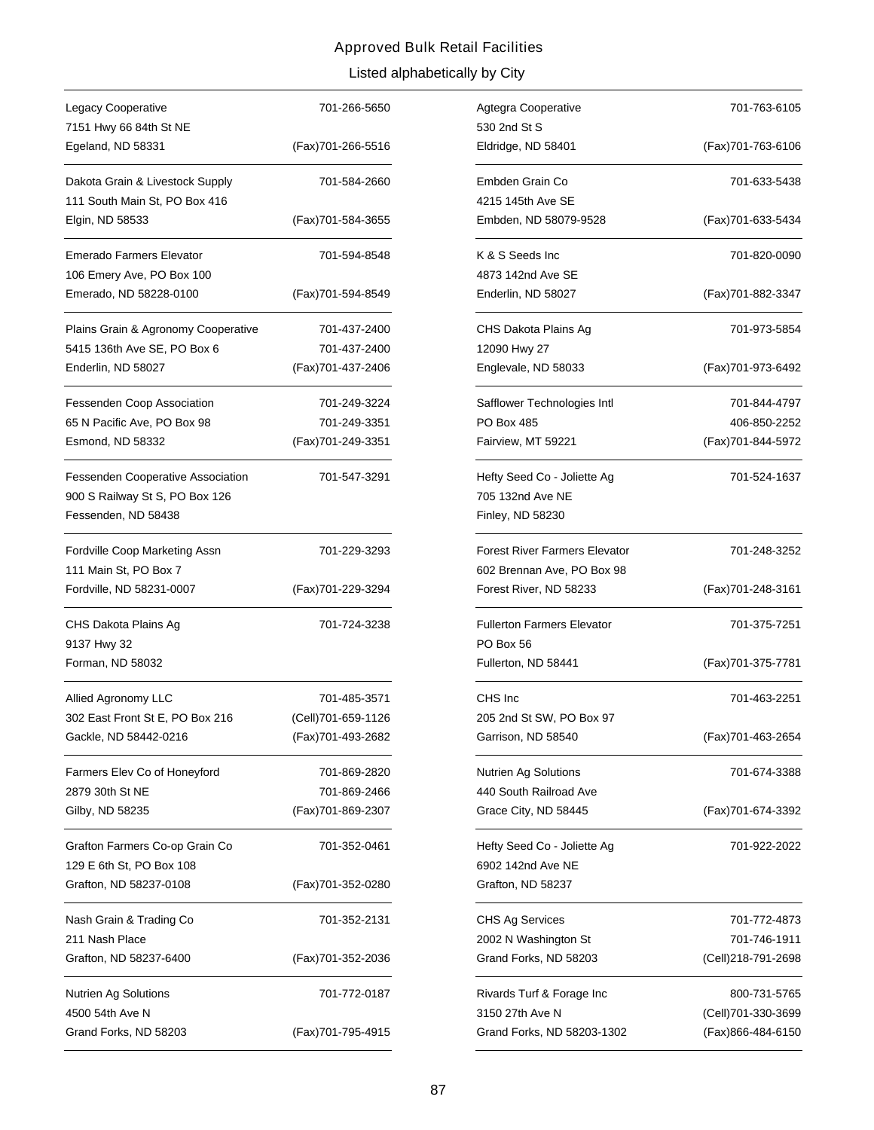| Legacy Cooperative                                                                                | 701-266-5650                            |
|---------------------------------------------------------------------------------------------------|-----------------------------------------|
| 7151 Hwy 66 84th St NE                                                                            |                                         |
| Egeland, ND 58331                                                                                 | (Fax)701-266-5516                       |
| Dakota Grain & Livestock Supply<br>111 South Main St, PO Box 416                                  | 701-584-2660                            |
| Elgin, ND 58533                                                                                   | (Fax)701-584-3655                       |
| Emerado Farmers Elevator                                                                          | 701-594-8548                            |
| 106 Emery Ave, PO Box 100<br>Emerado, ND 58228-0100                                               | (Fax)701-594-8549                       |
| Plains Grain & Agronomy Cooperative                                                               | 701-437-2400                            |
| 5415 136th Ave SE, PO Box 6                                                                       | 701-437-2400                            |
| Enderlin, ND 58027                                                                                | (Fax)701-437-2406                       |
| <b>Fessenden Coop Association</b>                                                                 | 701-249-3224                            |
| 65 N Pacific Ave, PO Box 98                                                                       | 701-249-3351                            |
| Esmond, ND 58332                                                                                  | (Fax)701-249-3351                       |
| <b>Fessenden Cooperative Association</b><br>900 S Railway St S, PO Box 126<br>Fessenden, ND 58438 | 701-547-3291                            |
| Fordville Coop Marketing Assn<br>111 Main St, PO Box 7                                            | 701-229-3293                            |
|                                                                                                   |                                         |
| Fordville, ND 58231-0007                                                                          | (Fax)701-229-3294                       |
| CHS Dakota Plains Ag<br>9137 Hwy 32<br>Forman, ND 58032                                           | 701-724-3238                            |
|                                                                                                   |                                         |
| Allied Agronomy LLC                                                                               | 701-485-3571                            |
| 302 East Front St E, PO Box 216<br>Gackle, ND 58442-0216                                          | (Cell)701-659-1126<br>(Fax)701-493-2682 |
| Farmers Elev Co of Honeyford                                                                      | 701-869-2820                            |
| 2879 30th St NE                                                                                   | 701-869-2466                            |
| Gilby, ND 58235                                                                                   | (Fax)701-869-2307                       |
| Grafton Farmers Co-op Grain Co                                                                    | 701-352-0461                            |
| 129 E 6th St, PO Box 108<br>Grafton, ND 58237-0108                                                | (Fax)701-352-0280                       |
| Nash Grain & Trading Co                                                                           | 701-352-2131                            |
| 211 Nash Place<br>Grafton, ND 58237-6400                                                          | (Fax)701-352-2036                       |
| <b>Nutrien Ag Solutions</b><br>4500 54th Ave N                                                    | 701-772-0187                            |

| 701-266-5650 | Agtegra Cooperative                  | 701-763-6105       |
|--------------|--------------------------------------|--------------------|
|              | 530 2nd St S                         |                    |
| 701-266-5516 | Eldridge, ND 58401                   | (Fax)701-763-6106  |
| 701-584-2660 | Embden Grain Co                      | 701-633-5438       |
|              | 4215 145th Ave SE                    |                    |
| 701-584-3655 | Embden, ND 58079-9528                | (Fax) 701-633-5434 |
| 701-594-8548 | K & S Seeds Inc                      | 701-820-0090       |
|              | 4873 142nd Ave SE                    |                    |
| 701-594-8549 | Enderlin, ND 58027                   | (Fax)701-882-3347  |
| 701-437-2400 | CHS Dakota Plains Ag                 | 701-973-5854       |
| 701-437-2400 | 12090 Hwy 27                         |                    |
| 701-437-2406 | Englevale, ND 58033                  | (Fax) 701-973-6492 |
| 701-249-3224 | Safflower Technologies Intl          | 701-844-4797       |
| 701-249-3351 | PO Box 485                           | 406-850-2252       |
| 701-249-3351 | Fairview, MT 59221                   | (Fax)701-844-5972  |
| 701-547-3291 | Hefty Seed Co - Joliette Ag          | 701-524-1637       |
|              | 705 132nd Ave NE                     |                    |
|              | Finley, ND 58230                     |                    |
| 701-229-3293 | <b>Forest River Farmers Elevator</b> | 701-248-3252       |
|              | 602 Brennan Ave, PO Box 98           |                    |
| 701-229-3294 | Forest River, ND 58233               | (Fax)701-248-3161  |
| 701-724-3238 | <b>Fullerton Farmers Elevator</b>    | 701-375-7251       |
|              | PO Box 56                            |                    |
|              | Fullerton, ND 58441                  | (Fax) 701-375-7781 |
| 701-485-3571 | CHS Inc                              | 701-463-2251       |
| 701-659-1126 | 205 2nd St SW, PO Box 97             |                    |
| 701-493-2682 | Garrison, ND 58540                   | (Fax)701-463-2654  |
| 701-869-2820 | <b>Nutrien Ag Solutions</b>          | 701-674-3388       |
| 701-869-2466 | 440 South Railroad Ave               |                    |
| 701-869-2307 | Grace City, ND 58445                 | (Fax)701-674-3392  |
| 701-352-0461 | Hefty Seed Co - Joliette Ag          | 701-922-2022       |
|              | 6902 142nd Ave NE                    |                    |
| 701-352-0280 | Grafton, ND 58237                    |                    |
| 701-352-2131 | <b>CHS Ag Services</b>               | 701-772-4873       |
|              | 2002 N Washington St                 | 701-746-1911       |
| 701-352-2036 | Grand Forks, ND 58203                | (Cell)218-791-2698 |
| 701-772-0187 | Rivards Turf & Forage Inc            | 800-731-5765       |
|              | 3150 27th Ave N                      | (Cell)701-330-3699 |
| 701-795-4915 | Grand Forks, ND 58203-1302           | (Fax)866-484-6150  |
|              |                                      |                    |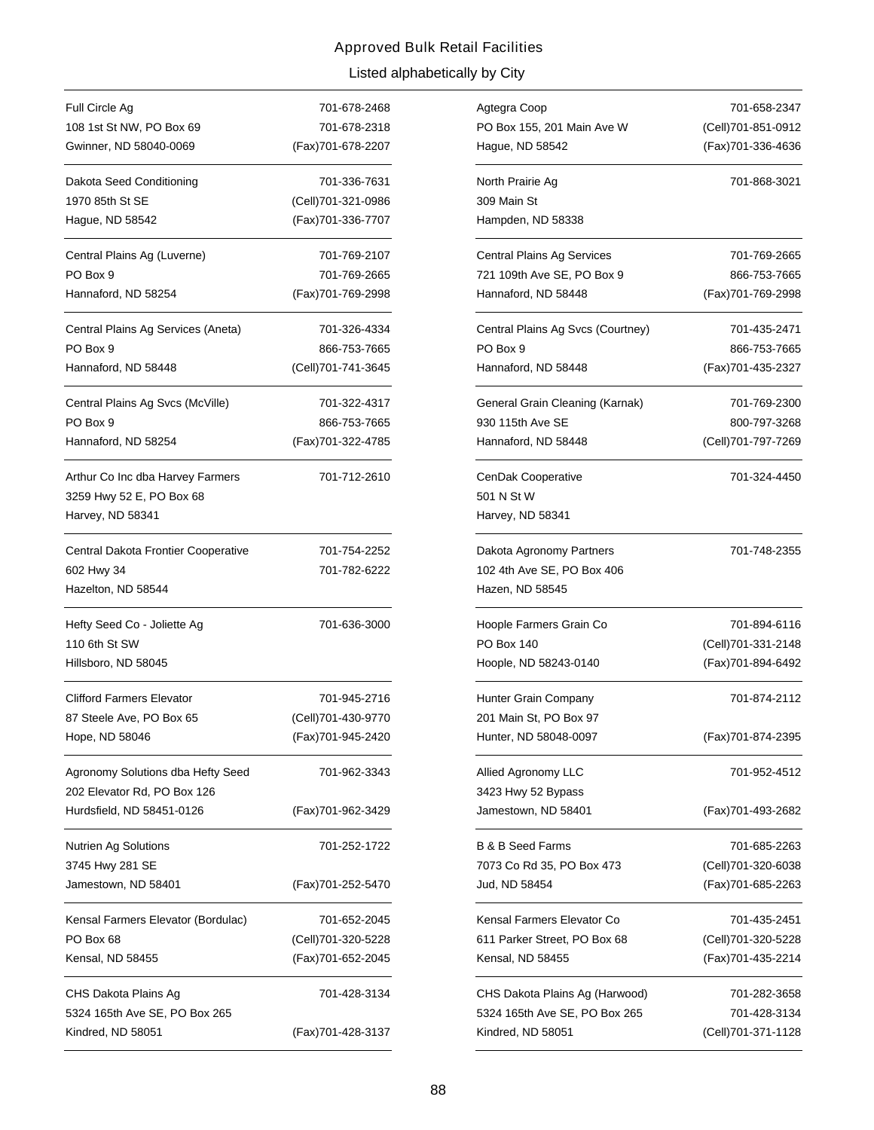# Listed alphabetically by City Approved Bulk Retail Facilities

| Full Circle Ag                                                                   | 701-678-2468       |
|----------------------------------------------------------------------------------|--------------------|
| 108 1st St NW, PO Box 69                                                         | 701-678-2318       |
| Gwinner, ND 58040-0069                                                           | (Fax)701-678-2207  |
| Dakota Seed Conditioning                                                         | 701-336-7631       |
| 1970 85th St SE                                                                  | (Cell)701-321-0986 |
| Hague, ND 58542                                                                  | (Fax) 701-336-7707 |
| Central Plains Ag (Luverne)                                                      | 701-769-2107       |
| PO Box 9                                                                         | 701-769-2665       |
| Hannaford, ND 58254                                                              | (Fax)701-769-2998  |
| Central Plains Ag Services (Aneta)                                               | 701-326-4334       |
| PO Box 9                                                                         | 866-753-7665       |
| Hannaford, ND 58448                                                              | (Cell)701-741-3645 |
| Central Plains Ag Svcs (McVille)                                                 | 701-322-4317       |
| PO Box 9                                                                         | 866-753-7665       |
| Hannaford, ND 58254                                                              | (Fax)701-322-4785  |
| Arthur Co Inc dba Harvey Farmers<br>3259 Hwy 52 E, PO Box 68<br>Harvey, ND 58341 | 701-712-2610       |
| Central Dakota Frontier Cooperative                                              | 701-754-2252       |
| 602 Hwy 34                                                                       | 701-782-6222       |
| Hazelton, ND 58544                                                               |                    |
| Hefty Seed Co - Joliette Ag<br>110 6th St SW                                     | 701-636-3000       |
| Hillsboro, ND 58045                                                              |                    |
| <b>Clifford Farmers Elevator</b>                                                 | 701-945-2716       |
| 87 Steele Ave, PO Box 65                                                         | (Cell)701-430-9770 |
| Hope, ND 58046                                                                   | (Fax)701-945-2420  |
| Agronomy Solutions dba Hefty Seed<br>202 Elevator Rd, PO Box 126                 | 701-962-3343       |
| Hurdsfield, ND 58451-0126                                                        | (Fax)701-962-3429  |
| Nutrien Ag Solutions<br>3745 Hwy 281 SE                                          | 701-252-1722       |
| Jamestown, ND 58401                                                              | (Fax)701-252-5470  |
| Kensal Farmers Elevator (Bordulac)                                               | 701-652-2045       |
| PO Box 68                                                                        |                    |
|                                                                                  | (Cell)701-320-5228 |
| Kensal, ND 58455                                                                 | (Fax)701-652-2045  |
| CHS Dakota Plains Ag<br>5324 165th Ave SE, PO Box 265                            | 701-428-3134       |

| 701-678-2468 | Agtegra Coop                      | 701-658-2347       |
|--------------|-----------------------------------|--------------------|
| 701-678-2318 | PO Box 155, 201 Main Ave W        | (Cell)701-851-0912 |
| 701-678-2207 | Hague, ND 58542                   | (Fax)701-336-4636  |
| 701-336-7631 | North Prairie Ag                  | 701-868-3021       |
| 701-321-0986 | 309 Main St                       |                    |
| 701-336-7707 | Hampden, ND 58338                 |                    |
| 701-769-2107 | Central Plains Ag Services        | 701-769-2665       |
| 701-769-2665 | 721 109th Ave SE, PO Box 9        | 866-753-7665       |
| 701-769-2998 | Hannaford, ND 58448               | (Fax)701-769-2998  |
| 701-326-4334 | Central Plains Ag Svcs (Courtney) | 701-435-2471       |
| 866-753-7665 | PO Box 9                          | 866-753-7665       |
| 701-741-3645 | Hannaford, ND 58448               | (Fax)701-435-2327  |
| 701-322-4317 | General Grain Cleaning (Karnak)   | 701-769-2300       |
| 866-753-7665 | 930 115th Ave SE                  | 800-797-3268       |
| 701-322-4785 | Hannaford, ND 58448               | (Cell)701-797-7269 |
| 701-712-2610 | CenDak Cooperative                | 701-324-4450       |
|              | 501 N St W                        |                    |
|              | Harvey, ND 58341                  |                    |
| 701-754-2252 | Dakota Agronomy Partners          | 701-748-2355       |
| 701-782-6222 | 102 4th Ave SE, PO Box 406        |                    |
|              | Hazen, ND 58545                   |                    |
| 701-636-3000 | Hoople Farmers Grain Co           | 701-894-6116       |
|              | <b>PO Box 140</b>                 | (Cell)701-331-2148 |
|              | Hoople, ND 58243-0140             | (Fax)701-894-6492  |
| 701-945-2716 | Hunter Grain Company              | 701-874-2112       |
| 701-430-9770 | 201 Main St, PO Box 97            |                    |
| 701-945-2420 | Hunter, ND 58048-0097             | (Fax)701-874-2395  |
| 701-962-3343 | Allied Agronomy LLC               | 701-952-4512       |
|              | 3423 Hwy 52 Bypass                |                    |
| 701-962-3429 | Jamestown, ND 58401               | (Fax)701-493-2682  |
| 701-252-1722 | <b>B &amp; B Seed Farms</b>       | 701-685-2263       |
|              | 7073 Co Rd 35, PO Box 473         | (Cell)701-320-6038 |
| 701-252-5470 | Jud, ND 58454                     | (Fax)701-685-2263  |
| 701-652-2045 | Kensal Farmers Elevator Co        | 701-435-2451       |
| 701-320-5228 | 611 Parker Street, PO Box 68      | (Cell)701-320-5228 |
| 701-652-2045 | Kensal, ND 58455                  | (Fax)701-435-2214  |
| 701-428-3134 | CHS Dakota Plains Ag (Harwood)    | 701-282-3658       |
|              | 5324 165th Ave SE, PO Box 265     | 701-428-3134       |
| 701-428-3137 | Kindred, ND 58051                 | (Cell)701-371-1128 |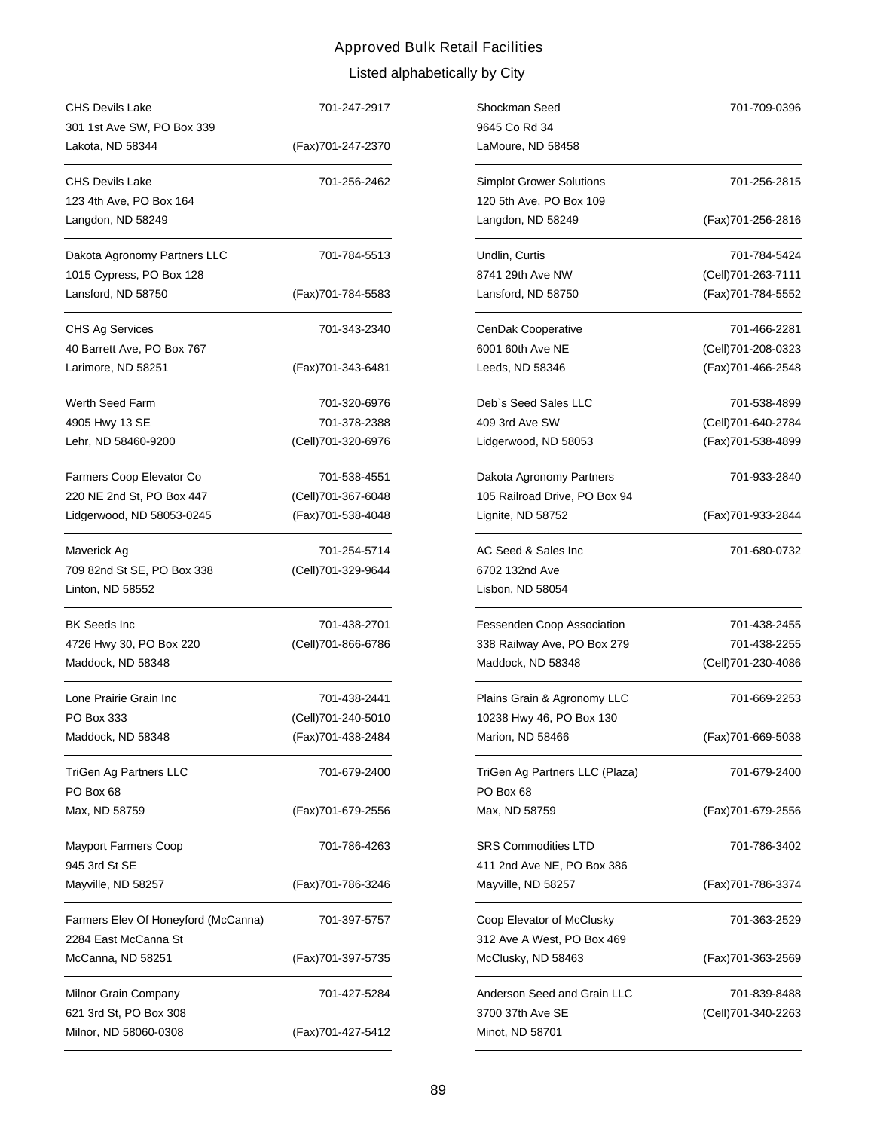| CHS Devils Lake                     | 701-247-2917       |
|-------------------------------------|--------------------|
| 301 1st Ave SW, PO Box 339          |                    |
| Lakota, ND 58344                    | (Fax)701-247-2370  |
| <b>CHS Devils Lake</b>              | 701-256-2462       |
| 123 4th Ave, PO Box 164             |                    |
| Langdon, ND 58249                   |                    |
| Dakota Agronomy Partners LLC        | 701-784-5513       |
| 1015 Cypress, PO Box 128            |                    |
| Lansford, ND 58750                  | (Fax)701-784-5583  |
| CHS Ag Services                     | 701-343-2340       |
| 40 Barrett Ave, PO Box 767          |                    |
| Larimore, ND 58251                  | (Fax)701-343-6481  |
| Werth Seed Farm                     | 701-320-6976       |
| 4905 Hwy 13 SE                      | 701-378-2388       |
| Lehr, ND 58460-9200                 | (Cell)701-320-6976 |
| Farmers Coop Elevator Co            | 701-538-4551       |
| 220 NE 2nd St, PO Box 447           | (Cell)701-367-6048 |
| Lidgerwood, ND 58053-0245           | (Fax)701-538-4048  |
| Maverick Ag                         | 701-254-5714       |
| 709 82nd St SE, PO Box 338          | (Cell)701-329-9644 |
| Linton, ND 58552                    |                    |
| <b>BK Seeds Inc</b>                 | 701-438-2701       |
| 4726 Hwy 30, PO Box 220             | (Cell)701-866-6786 |
| Maddock, ND 58348                   |                    |
| Lone Prairie Grain Inc              | 701-438-2441       |
| PO Box 333                          | (Cell)701-240-5010 |
| Maddock, ND 58348                   | (Fax)701-438-2484  |
| TriGen Ag Partners LLC              | 701-679-2400       |
| PO Box 68                           |                    |
| Max, ND 58759                       | (Fax)701-679-2556  |
| <b>Mayport Farmers Coop</b>         | 701-786-4263       |
| 945 3rd St SE                       |                    |
| Mayville, ND 58257                  | (Fax)701-786-3246  |
| Farmers Elev Of Honeyford (McCanna) | 701-397-5757       |
| 2284 East McCanna St                |                    |
| McCanna, ND 58251                   | (Fax)701-397-5735  |
| Milnor Grain Company                | 701-427-5284       |
| 621 3rd St, PO Box 308              |                    |
| Milnor, ND 58060-0308               | (Fax)701-427-5412  |

| 701-247-2917 | Shockman Seed                                           | 701-709-0396        |
|--------------|---------------------------------------------------------|---------------------|
| 701-247-2370 | 9645 Co Rd 34<br>LaMoure, ND 58458                      |                     |
|              |                                                         |                     |
| 701-256-2462 | <b>Simplot Grower Solutions</b>                         | 701-256-2815        |
|              | 120 5th Ave, PO Box 109                                 |                     |
|              | Langdon, ND 58249                                       | (Fax)701-256-2816   |
| 701-784-5513 | Undlin, Curtis                                          | 701-784-5424        |
|              | 8741 29th Ave NW                                        | (Cell) 701-263-7111 |
| 701-784-5583 | Lansford, ND 58750                                      | (Fax)701-784-5552   |
| 701-343-2340 | CenDak Cooperative                                      | 701-466-2281        |
|              | 6001 60th Ave NE                                        | (Cell)701-208-0323  |
| 701-343-6481 | Leeds, ND 58346                                         | (Fax) 701-466-2548  |
| 701-320-6976 | Deb's Seed Sales LLC                                    | 701-538-4899        |
| 701-378-2388 | 409 3rd Ave SW                                          | (Cell)701-640-2784  |
| 701-320-6976 | Lidgerwood, ND 58053                                    | (Fax) 701-538-4899  |
| 701-538-4551 | Dakota Agronomy Partners                                | 701-933-2840        |
| 701-367-6048 | 105 Railroad Drive, PO Box 94                           |                     |
| 701-538-4048 | Lignite, ND 58752                                       | (Fax)701-933-2844   |
| 701-254-5714 | AC Seed & Sales Inc                                     | 701-680-0732        |
| 701-329-9644 | 6702 132nd Ave                                          |                     |
|              | Lisbon, ND 58054                                        |                     |
| 701-438-2701 | Fessenden Coop Association                              | 701-438-2455        |
| 701-866-6786 | 338 Railway Ave, PO Box 279                             | 701-438-2255        |
|              | Maddock, ND 58348                                       | (Cell)701-230-4086  |
| 701-438-2441 | Plains Grain & Agronomy LLC                             | 701-669-2253        |
| 701-240-5010 | 10238 Hwy 46, PO Box 130                                |                     |
| 701-438-2484 | Marion, ND 58466                                        | (Fax)701-669-5038   |
| 701-679-2400 | TriGen Ag Partners LLC (Plaza)<br>PO Box 68             | 701-679-2400        |
| 701-679-2556 | Max, ND 58759                                           | (Fax)701-679-2556   |
| 701-786-4263 | <b>SRS Commodities LTD</b>                              | 701-786-3402        |
| 701-786-3246 | 411 2nd Ave NE, PO Box 386<br>Mayville, ND 58257        | (Fax) 701-786-3374  |
| 701-397-5757 | Coop Elevator of McClusky<br>312 Ave A West, PO Box 469 | 701-363-2529        |
| 701-397-5735 | McClusky, ND 58463                                      | (Fax)701-363-2569   |
| 701-427-5284 | Anderson Seed and Grain LLC                             | 701-839-8488        |
|              | 3700 37th Ave SE                                        | (Cell)701-340-2263  |
| 701-427-5412 | Minot, ND 58701                                         |                     |
|              |                                                         |                     |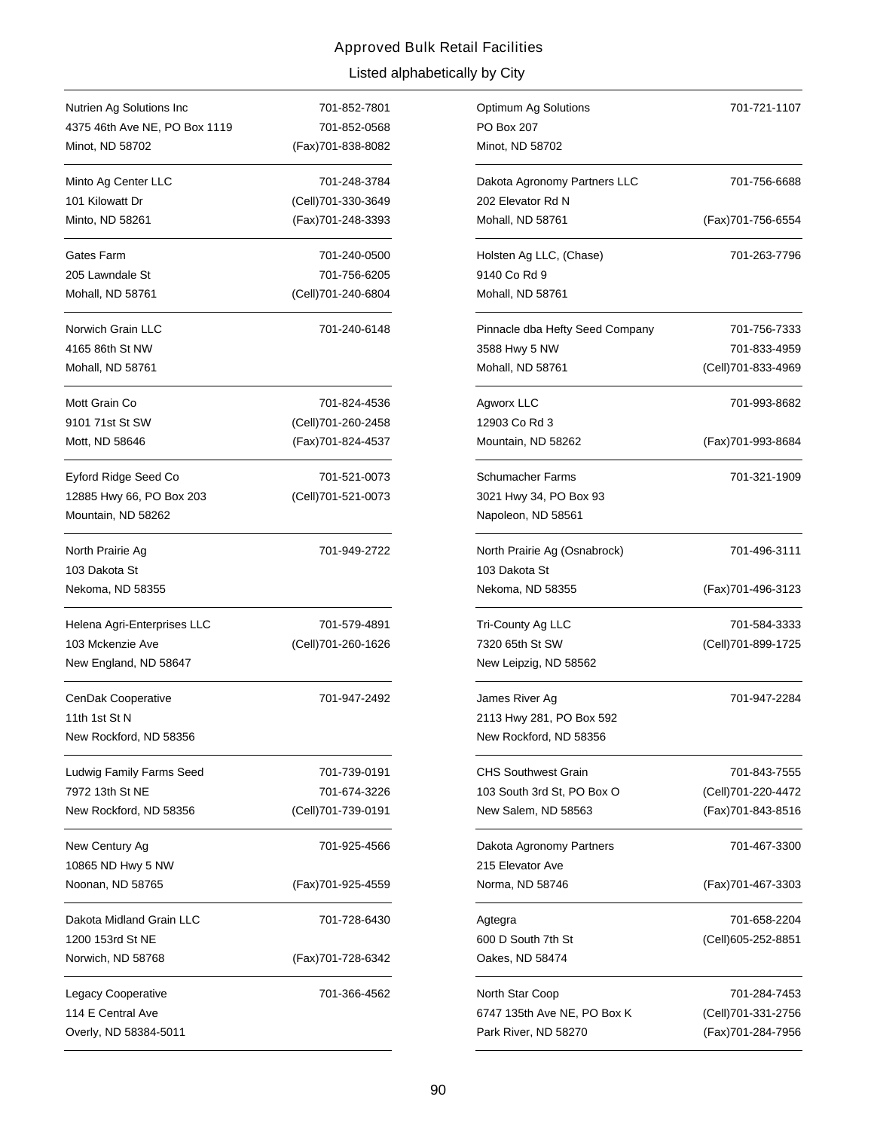| Nutrien Ag Solutions Inc      | 701-852-7801       |
|-------------------------------|--------------------|
| 4375 46th Ave NE, PO Box 1119 | 701-852-0568       |
| Minot, ND 58702               | (Fax)701-838-8082  |
| Minto Ag Center LLC           | 701-248-3784       |
| 101 Kilowatt Dr               | (Cell)701-330-3649 |
| Minto, ND 58261               | (Fax)701-248-3393  |
| Gates Farm                    | 701-240-0500       |
| 205 Lawndale St               | 701-756-6205       |
| Mohall, ND 58761              | (Cell)701-240-6804 |
| Norwich Grain LLC             | 701-240-6148       |
| 4165 86th St NW               |                    |
| Mohall, ND 58761              |                    |
| Mott Grain Co                 | 701-824-4536       |
| 9101 71st St SW               | (Cell)701-260-2458 |
| Mott, ND 58646                | (Fax)701-824-4537  |
| Eyford Ridge Seed Co          | 701-521-0073       |
| 12885 Hwy 66, PO Box 203      | (Cell)701-521-0073 |
| Mountain, ND 58262            |                    |
| North Prairie Ag              | 701-949-2722       |
| 103 Dakota St                 |                    |
| Nekoma, ND 58355              |                    |
| Helena Agri-Enterprises LLC   | 701-579-4891       |
| 103 Mckenzie Ave              | (Cell)701-260-1626 |
| New England, ND 58647         |                    |
| CenDak Cooperative            | 701-947-2492       |
| 11th 1st St N                 |                    |
| New Rockford, ND 58356        |                    |
| Ludwig Family Farms Seed      | 701-739-0191       |
| 7972 13th St NE               | 701-674-3226       |
| New Rockford, ND 58356        | (Cell)701-739-0191 |
| New Century Ag                | 701-925-4566       |
| 10865 ND Hwy 5 NW             |                    |
| Noonan, ND 58765              | (Fax)701-925-4559  |
| Dakota Midland Grain LLC      | 701-728-6430       |
| 1200 153rd St NE              |                    |
| Norwich, ND 58768             | (Fax)701-728-6342  |
| Legacy Cooperative            | 701-366-4562       |
| 114 E Central Ave             |                    |
| Overly, ND 58384-5011         |                    |

| 701-852-7801 | Optimum Ag Solutions            | 701-721-1107       |
|--------------|---------------------------------|--------------------|
| 701-852-0568 | <b>PO Box 207</b>               |                    |
| 701-838-8082 | Minot, ND 58702                 |                    |
| 701-248-3784 | Dakota Agronomy Partners LLC    | 701-756-6688       |
| 701-330-3649 | 202 Elevator Rd N               |                    |
| 701-248-3393 | Mohall, ND 58761                | (Fax) 701-756-6554 |
| 701-240-0500 | Holsten Ag LLC, (Chase)         | 701-263-7796       |
| 701-756-6205 | 9140 Co Rd 9                    |                    |
| 701-240-6804 | Mohall, ND 58761                |                    |
| 701-240-6148 | Pinnacle dba Hefty Seed Company | 701-756-7333       |
|              | 3588 Hwy 5 NW                   | 701-833-4959       |
|              | Mohall, ND 58761                | (Cell)701-833-4969 |
| 701-824-4536 | Agworx LLC                      | 701-993-8682       |
| 701-260-2458 | 12903 Co Rd 3                   |                    |
| 701-824-4537 | Mountain, ND 58262              | (Fax)701-993-8684  |
| 701-521-0073 | <b>Schumacher Farms</b>         | 701-321-1909       |
| 701-521-0073 | 3021 Hwy 34, PO Box 93          |                    |
|              | Napoleon, ND 58561              |                    |
| 701-949-2722 | North Prairie Ag (Osnabrock)    | 701-496-3111       |
|              | 103 Dakota St                   |                    |
|              | Nekoma, ND 58355                | (Fax)701-496-3123  |
| 701-579-4891 | Tri-County Ag LLC               | 701-584-3333       |
| 701-260-1626 | 7320 65th St SW                 | (Cell)701-899-1725 |
|              | New Leipzig, ND 58562           |                    |
| 701-947-2492 | James River Ag                  | 701-947-2284       |
|              | 2113 Hwy 281, PO Box 592        |                    |
|              | New Rockford, ND 58356          |                    |
| 701-739-0191 | <b>CHS Southwest Grain</b>      | 701-843-7555       |
| 701-674-3226 | 103 South 3rd St, PO Box O      | (Cell)701-220-4472 |
| 701-739-0191 | New Salem, ND 58563             | (Fax) 701-843-8516 |
| 701-925-4566 | Dakota Agronomy Partners        | 701-467-3300       |
|              | 215 Elevator Ave                |                    |
| 701-925-4559 | Norma, ND 58746                 | (Fax)701-467-3303  |
| 701-728-6430 | Agtegra                         | 701-658-2204       |
|              | 600 D South 7th St              | (Cell)605-252-8851 |
| 701-728-6342 | Oakes, ND 58474                 |                    |
| 701-366-4562 | North Star Coop                 | 701-284-7453       |
|              | 6747 135th Ave NE, PO Box K     | (Cell)701-331-2756 |
|              | Park River, ND 58270            | (Fax)701-284-7956  |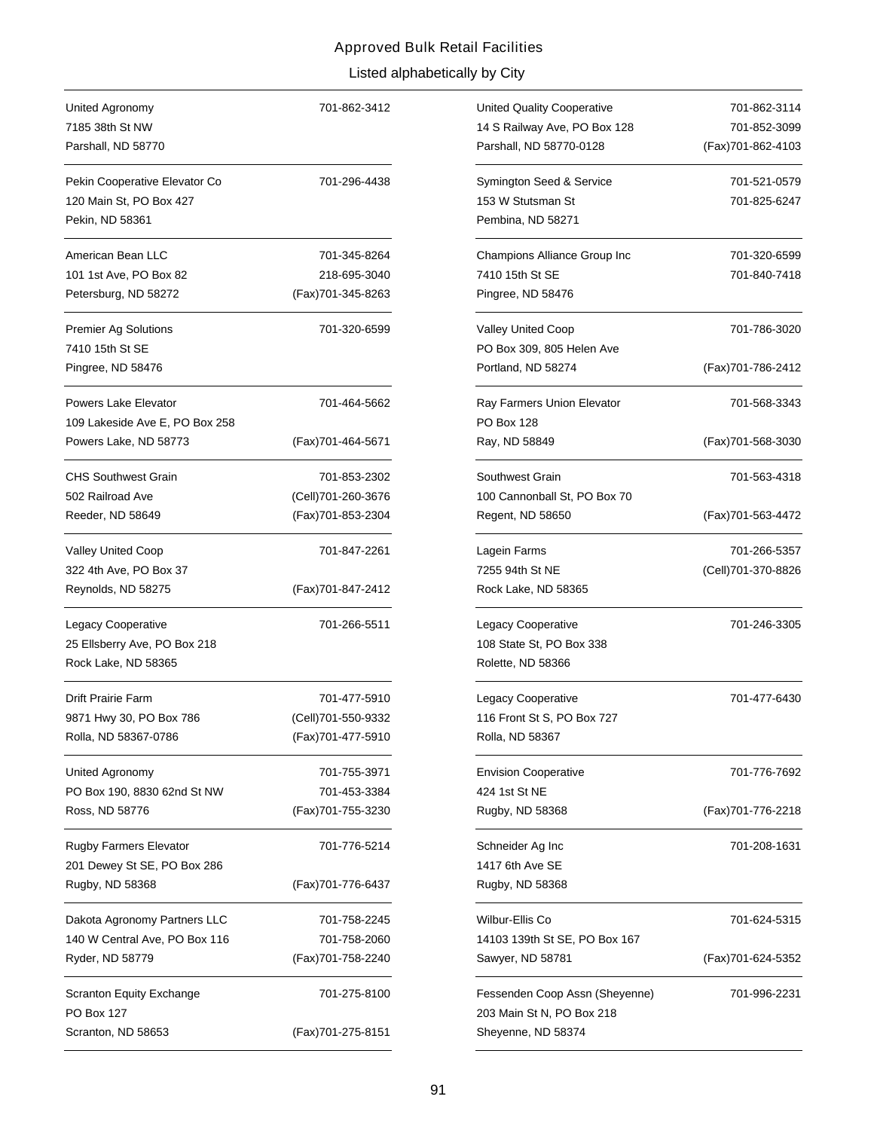| United Agronomy<br>7185 38th St NW<br>Parshall, ND 58770                    | 701-862-3412       |
|-----------------------------------------------------------------------------|--------------------|
| Pekin Cooperative Elevator Co<br>120 Main St, PO Box 427<br>Pekin, ND 58361 | 701-296-4438       |
| American Bean LLC                                                           | 701-345-8264       |
| 101 1st Ave, PO Box 82                                                      | 218-695-3040       |
| Petersburg, ND 58272                                                        | (Fax)701-345-8263  |
| <b>Premier Ag Solutions</b>                                                 | 701-320-6599       |
| 7410 15th St SE                                                             |                    |
| Pingree, ND 58476                                                           |                    |
| Powers Lake Elevator                                                        | 701-464-5662       |
| 109 Lakeside Ave E, PO Box 258                                              |                    |
| Powers Lake, ND 58773                                                       | (Fax)701-464-5671  |
| <b>CHS Southwest Grain</b>                                                  | 701-853-2302       |
| 502 Railroad Ave                                                            | (Cell)701-260-3676 |
| Reeder, ND 58649                                                            | (Fax)701-853-2304  |
| Valley United Coop                                                          | 701-847-2261       |
| 322 4th Ave, PO Box 37                                                      |                    |
| Reynolds, ND 58275                                                          | (Fax)701-847-2412  |
| Legacy Cooperative                                                          | 701-266-5511       |
| 25 Ellsberry Ave, PO Box 218                                                |                    |
| Rock Lake, ND 58365                                                         |                    |
| Drift Prairie Farm                                                          | 701-477-5910       |
| 9871 Hwy 30, PO Box 786                                                     | (Cell)701-550-9332 |
| Rolla, ND 58367-0786                                                        | (Fax)701-477-5910  |
| United Agronomy                                                             | 701-755-3971       |
| PO Box 190, 8830 62nd St NW                                                 | 701-453-3384       |
| Ross, ND 58776                                                              | (Fax)701-755-3230  |
| <b>Rugby Farmers Elevator</b><br>201 Dewey St SE, PO Box 286                | 701-776-5214       |
| Rugby, ND 58368                                                             | (Fax)701-776-6437  |
| Dakota Agronomy Partners LLC                                                | 701-758-2245       |
| 140 W Central Ave, PO Box 116                                               | 701-758-2060       |
| Ryder, ND 58779                                                             | (Fax)701-758-2240  |
| <b>Scranton Equity Exchange</b><br><b>PO Box 127</b>                        | 701-275-8100       |
| Scranton, ND 58653                                                          | (Fax)701-275-8151  |

| 701-862-3412 | <b>United Quality Cooperative</b>                           | 701-862-3114       |
|--------------|-------------------------------------------------------------|--------------------|
|              | 14 S Railway Ave, PO Box 128                                | 701-852-3099       |
|              | Parshall, ND 58770-0128                                     | (Fax) 701-862-4103 |
| 701-296-4438 | Symington Seed & Service                                    | 701-521-0579       |
|              | 153 W Stutsman St                                           | 701-825-6247       |
|              | Pembina, ND 58271                                           |                    |
| 701-345-8264 | Champions Alliance Group Inc                                | 701-320-6599       |
| 218-695-3040 | 7410 15th St SE                                             | 701-840-7418       |
| 701-345-8263 | Pingree, ND 58476                                           |                    |
| 701-320-6599 | <b>Valley United Coop</b>                                   | 701-786-3020       |
|              | PO Box 309, 805 Helen Ave                                   |                    |
|              | Portland, ND 58274                                          | (Fax)701-786-2412  |
| 701-464-5662 | Ray Farmers Union Elevator                                  | 701-568-3343       |
|              | <b>PO Box 128</b>                                           |                    |
| 701-464-5671 | Ray, ND 58849                                               | (Fax) 701-568-3030 |
| 701-853-2302 | Southwest Grain                                             | 701-563-4318       |
| 701-260-3676 | 100 Cannonball St, PO Box 70                                |                    |
| 701-853-2304 | Regent, ND 58650                                            | (Fax) 701-563-4472 |
| 701-847-2261 | Lagein Farms                                                | 701-266-5357       |
|              | 7255 94th St NE                                             | (Cell)701-370-8826 |
| 701-847-2412 | Rock Lake, ND 58365                                         |                    |
| 701-266-5511 | Legacy Cooperative                                          | 701-246-3305       |
|              | 108 State St, PO Box 338                                    |                    |
|              | Rolette, ND 58366                                           |                    |
| 701-477-5910 | Legacy Cooperative                                          | 701-477-6430       |
| 701-550-9332 | 116 Front St S, PO Box 727                                  |                    |
| 701-477-5910 | Rolla, ND 58367                                             |                    |
| 701-755-3971 | <b>Envision Cooperative</b>                                 | 701-776-7692       |
| 701-453-3384 | 424 1st St NE                                               |                    |
| 701-755-3230 | Rugby, ND 58368                                             | (Fax)701-776-2218  |
| 701-776-5214 | Schneider Ag Inc                                            | 701-208-1631       |
|              | 1417 6th Ave SE                                             |                    |
| 701-776-6437 | Rugby, ND 58368                                             |                    |
| 701-758-2245 | Wilbur-Ellis Co                                             | 701-624-5315       |
| 701-758-2060 | 14103 139th St SE, PO Box 167                               |                    |
| 701-758-2240 | Sawyer, ND 58781                                            | (Fax)701-624-5352  |
| 701-275-8100 | Fessenden Coop Assn (Sheyenne)<br>203 Main St N, PO Box 218 | 701-996-2231       |
| 701-275-8151 | Sheyenne, ND 58374                                          |                    |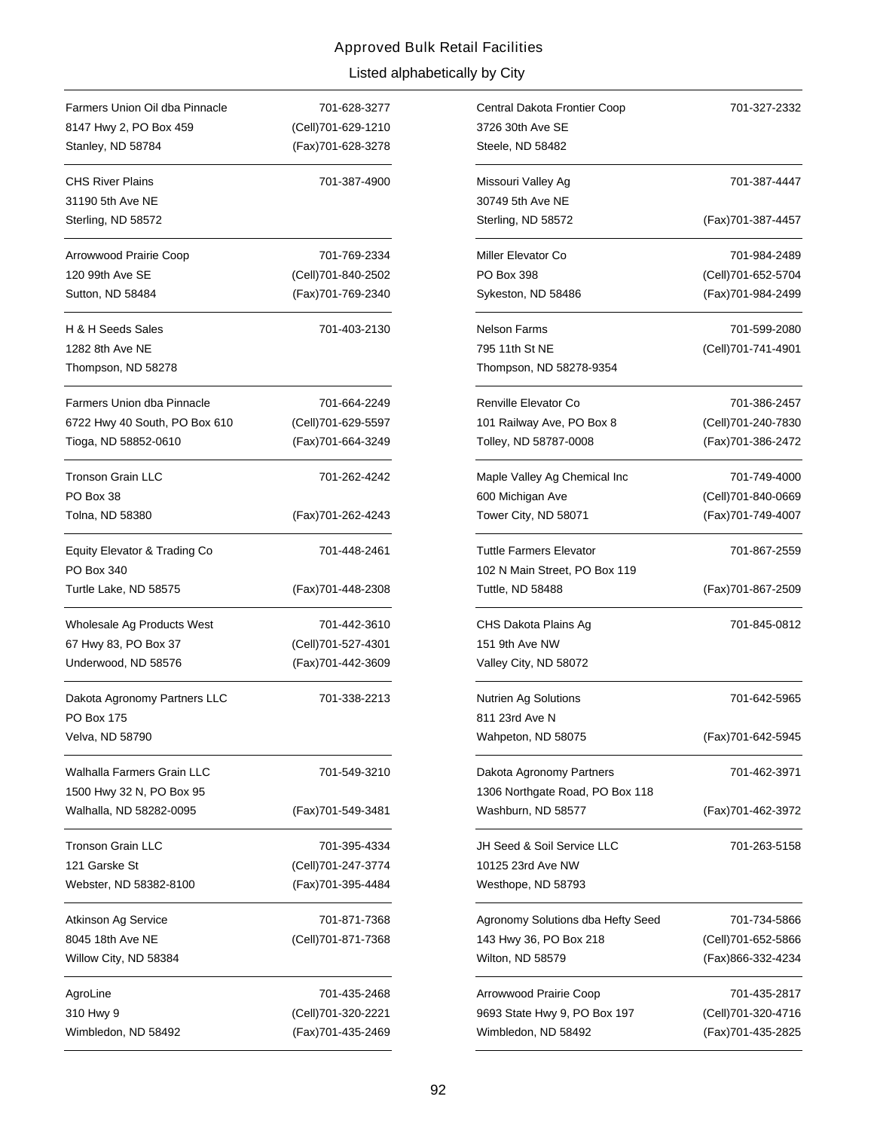| Farmers Union Oil dba Pinnacle                                | 701-628-3277                            |  |
|---------------------------------------------------------------|-----------------------------------------|--|
| 8147 Hwy 2, PO Box 459                                        | (Cell)701-629-1210<br>(Fax)701-628-3278 |  |
| Stanley, ND 58784                                             |                                         |  |
| <b>CHS River Plains</b>                                       | 701-387-4900                            |  |
| 31190 5th Ave NE                                              |                                         |  |
| Sterling, ND 58572                                            |                                         |  |
| Arrowwood Prairie Coop                                        | 701-769-2334                            |  |
| 120 99th Ave SE                                               | (Cell)701-840-2502                      |  |
| Sutton, ND 58484                                              | (Fax)701-769-2340                       |  |
| H & H Seeds Sales                                             | 701-403-2130                            |  |
| 1282 8th Ave NE                                               |                                         |  |
| Thompson, ND 58278                                            |                                         |  |
| Farmers Union dba Pinnacle                                    | 701-664-2249                            |  |
| 6722 Hwy 40 South, PO Box 610                                 | (Cell)701-629-5597                      |  |
| Tioga, ND 58852-0610                                          | (Fax)701-664-3249                       |  |
| Tronson Grain LLC<br>PO Box 38                                | 701-262-4242                            |  |
| Tolna, ND 58380                                               | (Fax)701-262-4243                       |  |
| Equity Elevator & Trading Co<br>PO Box 340                    | 701-448-2461                            |  |
| Turtle Lake, ND 58575                                         | (Fax)701-448-2308                       |  |
| Wholesale Ag Products West                                    | 701-442-3610                            |  |
| 67 Hwy 83, PO Box 37                                          | (Cell)701-527-4301                      |  |
| Underwood, ND 58576                                           | (Fax)701-442-3609                       |  |
| Dakota Agronomy Partners LLC<br>PO Box 175<br>Velva, ND 58790 | 701-338-2213                            |  |
| Walhalla Farmers Grain LLC                                    | 701-549-3210                            |  |
| 1500 Hwy 32 N, PO Box 95<br>Walhalla, ND 58282-0095           | (Fax)701-549-3481                       |  |
| Tronson Grain LLC                                             | 701-395-4334                            |  |
| 121 Garske St                                                 | (Cell)701-247-3774                      |  |
| Webster, ND 58382-8100                                        | (Fax)701-395-4484                       |  |
| Atkinson Ag Service                                           | 701-871-7368                            |  |
| 8045 18th Ave NE                                              | (Cell)701-871-7368                      |  |
| Willow City, ND 58384                                         |                                         |  |
| AgroLine                                                      | 701-435-2468                            |  |
| 310 Hwy 9                                                     | (Cell)701-320-2221                      |  |
| Wimbledon, ND 58492                                           | (Fax)701-435-2469                       |  |

| 701-628-3277 | Central Dakota Frontier Coop<br>701-327-2332 |                    |
|--------------|----------------------------------------------|--------------------|
| 701-629-1210 | 3726 30th Ave SE                             |                    |
| 701-628-3278 | Steele, ND 58482                             |                    |
| 701-387-4900 | Missouri Valley Ag                           | 701-387-4447       |
|              | 30749 5th Ave NE                             |                    |
|              | Sterling, ND 58572                           | (Fax) 701-387-4457 |
| 701-769-2334 | Miller Elevator Co                           | 701-984-2489       |
| 701-840-2502 | PO Box 398                                   | (Cell)701-652-5704 |
| 701-769-2340 | Sykeston, ND 58486                           | (Fax)701-984-2499  |
| 701-403-2130 | <b>Nelson Farms</b>                          | 701-599-2080       |
|              | 795 11th St NE                               | (Cell)701-741-4901 |
|              | Thompson, ND 58278-9354                      |                    |
| 701-664-2249 | Renville Elevator Co                         | 701-386-2457       |
| 701-629-5597 | 101 Railway Ave, PO Box 8                    | (Cell)701-240-7830 |
| 701-664-3249 | Tolley, ND 58787-0008                        | (Fax) 701-386-2472 |
| 701-262-4242 | Maple Valley Ag Chemical Inc                 | 701-749-4000       |
|              | 600 Michigan Ave                             | (Cell)701-840-0669 |
| 701-262-4243 | Tower City, ND 58071                         | (Fax)701-749-4007  |
| 701-448-2461 | <b>Tuttle Farmers Elevator</b>               | 701-867-2559       |
|              | 102 N Main Street, PO Box 119                |                    |
| 701-448-2308 | <b>Tuttle, ND 58488</b>                      | (Fax) 701-867-2509 |
| 701-442-3610 | CHS Dakota Plains Ag                         | 701-845-0812       |
| 701-527-4301 | 151 9th Ave NW                               |                    |
| 701-442-3609 | Valley City, ND 58072                        |                    |
| 701-338-2213 | <b>Nutrien Ag Solutions</b>                  | 701-642-5965       |
|              | 811 23rd Ave N                               |                    |
|              | Wahpeton, ND 58075                           | (Fax)701-642-5945  |
| 701-549-3210 | Dakota Agronomy Partners                     | 701-462-3971       |
|              | 1306 Northgate Road, PO Box 118              |                    |
| 701-549-3481 | Washburn, ND 58577                           | (Fax)701-462-3972  |
| 701-395-4334 | JH Seed & Soil Service LLC                   | 701-263-5158       |
| 701-247-3774 | 10125 23rd Ave NW                            |                    |
| 701-395-4484 | Westhope, ND 58793                           |                    |
| 701-871-7368 | Agronomy Solutions dba Hefty Seed            | 701-734-5866       |
| 701-871-7368 | 143 Hwy 36, PO Box 218                       | (Cell)701-652-5866 |
|              | Wilton, ND 58579                             | (Fax)866-332-4234  |
| 701-435-2468 | Arrowwood Prairie Coop                       | 701-435-2817       |
| 701-320-2221 | 9693 State Hwy 9, PO Box 197                 | (Cell)701-320-4716 |
| 701-435-2469 | Wimbledon, ND 58492                          | (Fax)701-435-2825  |